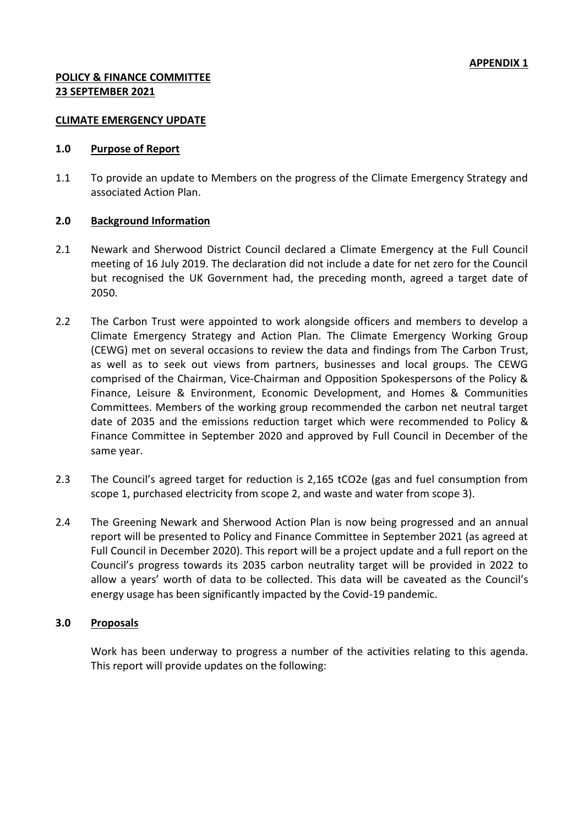#### **CLIMATE EMERGENCY UPDATE**

#### **1.0 Purpose of Report**

1.1 To provide an update to Members on the progress of the Climate Emergency Strategy and associated Action Plan.

### **2.0 Background Information**

- 2.1 Newark and Sherwood District Council declared a Climate Emergency at the Full Council meeting of 16 July 2019. The declaration did not include a date for net zero for the Council but recognised the UK Government had, the preceding month, agreed a target date of 2050.
- 2.2 The Carbon Trust were appointed to work alongside officers and members to develop a Climate Emergency Strategy and Action Plan. The Climate Emergency Working Group (CEWG) met on several occasions to review the data and findings from The Carbon Trust, as well as to seek out views from partners, businesses and local groups. The CEWG comprised of the Chairman, Vice-Chairman and Opposition Spokespersons of the Policy & Finance, Leisure & Environment, Economic Development, and Homes & Communities Committees. Members of the working group recommended the carbon net neutral target date of 2035 and the emissions reduction target which were recommended to Policy & Finance Committee in September 2020 and approved by Full Council in December of the same year.
- 2.3 The Council's agreed target for reduction is 2,165 tCO2e (gas and fuel consumption from scope 1, purchased electricity from scope 2, and waste and water from scope 3).
- 2.4 The Greening Newark and Sherwood Action Plan is now being progressed and an annual report will be presented to Policy and Finance Committee in September 2021 (as agreed at Full Council in December 2020). This report will be a project update and a full report on the Council's progress towards its 2035 carbon neutrality target will be provided in 2022 to allow a years' worth of data to be collected. This data will be caveated as the Council's energy usage has been significantly impacted by the Covid-19 pandemic.

### **3.0 Proposals**

Work has been underway to progress a number of the activities relating to this agenda. This report will provide updates on the following: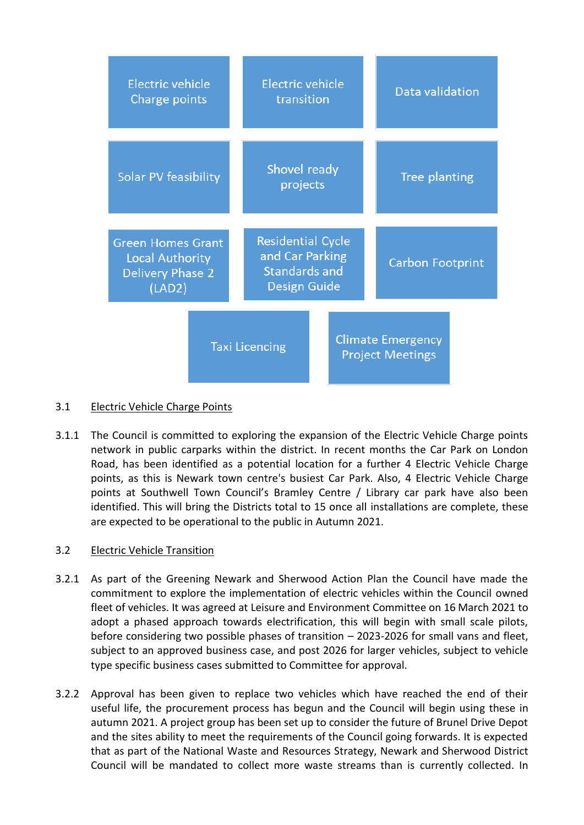| Electric vehicle<br>Charge points                                                       |                       | Electric vehicle<br>transition                                                      |  | Data validation                                     |  |  |
|-----------------------------------------------------------------------------------------|-----------------------|-------------------------------------------------------------------------------------|--|-----------------------------------------------------|--|--|
| Solar PV feasibility                                                                    |                       | Shovel ready<br>projects                                                            |  | Tree planting                                       |  |  |
| <b>Green Homes Grant</b><br><b>Local Authority</b><br><b>Delivery Phase 2</b><br>(LAD2) |                       | <b>Residential Cycle</b><br>and Car Parking<br><b>Standards and</b><br>Design Guide |  | <b>Carbon Footprint</b>                             |  |  |
|                                                                                         | <b>Taxi Licencing</b> |                                                                                     |  | <b>Climate Emergency</b><br><b>Project Meetings</b> |  |  |

### 3.1 Electric Vehicle Charge Points

3.1.1 The Council is committed to exploring the expansion of the Electric Vehicle Charge points network in public carparks within the district. In recent months the Car Park on London Road, has been identified as a potential location for a further 4 Electric Vehicle Charge points, as this is Newark town centre's busiest Car Park. Also, 4 Electric Vehicle Charge points at Southwell Town Council's Bramley Centre / Library car park have also been identified. This will bring the Districts total to 15 once all installations are complete, these are expected to be operational to the public in Autumn 2021.

### 3.2 Electric Vehicle Transition

- 3.2.1 As part of the Greening Newark and Sherwood Action Plan the Council have made the commitment to explore the implementation of electric vehicles within the Council owned fleet of vehicles. It was agreed at Leisure and Environment Committee on 16 March 2021 to adopt a phased approach towards electrification, this will begin with small scale pilots, before considering two possible phases of transition – 2023-2026 for small vans and fleet, subject to an approved business case, and post 2026 for larger vehicles, subject to vehicle type specific business cases submitted to Committee for approval.
- 3.2.2 Approval has been given to replace two vehicles which have reached the end of their useful life, the procurement process has begun and the Council will begin using these in autumn 2021. A project group has been set up to consider the future of Brunel Drive Depot and the sites ability to meet the requirements of the Council going forwards. It is expected that as part of the National Waste and Resources Strategy, Newark and Sherwood District Council will be mandated to collect more waste streams than is currently collected. In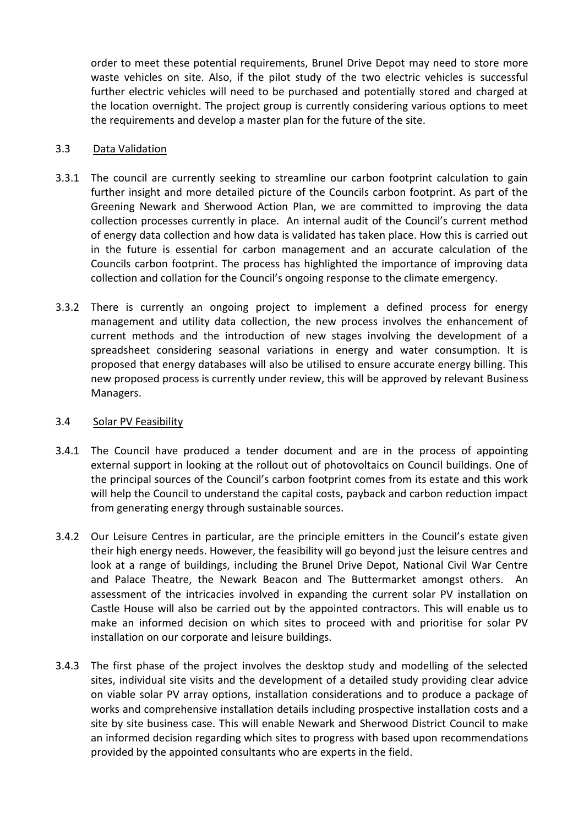order to meet these potential requirements, Brunel Drive Depot may need to store more waste vehicles on site. Also, if the pilot study of the two electric vehicles is successful further electric vehicles will need to be purchased and potentially stored and charged at the location overnight. The project group is currently considering various options to meet the requirements and develop a master plan for the future of the site.

### 3.3 Data Validation

- 3.3.1 The council are currently seeking to streamline our carbon footprint calculation to gain further insight and more detailed picture of the Councils carbon footprint. As part of the Greening Newark and Sherwood Action Plan, we are committed to improving the data collection processes currently in place. An internal audit of the Council's current method of energy data collection and how data is validated has taken place. How this is carried out in the future is essential for carbon management and an accurate calculation of the Councils carbon footprint. The process has highlighted the importance of improving data collection and collation for the Council's ongoing response to the climate emergency.
- 3.3.2 There is currently an ongoing project to implement a defined process for energy management and utility data collection, the new process involves the enhancement of current methods and the introduction of new stages involving the development of a spreadsheet considering seasonal variations in energy and water consumption. It is proposed that energy databases will also be utilised to ensure accurate energy billing. This new proposed process is currently under review, this will be approved by relevant Business Managers.

### 3.4 Solar PV Feasibility

- 3.4.1 The Council have produced a tender document and are in the process of appointing external support in looking at the rollout out of photovoltaics on Council buildings. One of the principal sources of the Council's carbon footprint comes from its estate and this work will help the Council to understand the capital costs, payback and carbon reduction impact from generating energy through sustainable sources.
- 3.4.2 Our Leisure Centres in particular, are the principle emitters in the Council's estate given their high energy needs. However, the feasibility will go beyond just the leisure centres and look at a range of buildings, including the Brunel Drive Depot, National Civil War Centre and Palace Theatre, the Newark Beacon and The Buttermarket amongst others. An assessment of the intricacies involved in expanding the current solar PV installation on Castle House will also be carried out by the appointed contractors. This will enable us to make an informed decision on which sites to proceed with and prioritise for solar PV installation on our corporate and leisure buildings.
- 3.4.3 The first phase of the project involves the desktop study and modelling of the selected sites, individual site visits and the development of a detailed study providing clear advice on viable solar PV array options, installation considerations and to produce a package of works and comprehensive installation details including prospective installation costs and a site by site business case. This will enable Newark and Sherwood District Council to make an informed decision regarding which sites to progress with based upon recommendations provided by the appointed consultants who are experts in the field.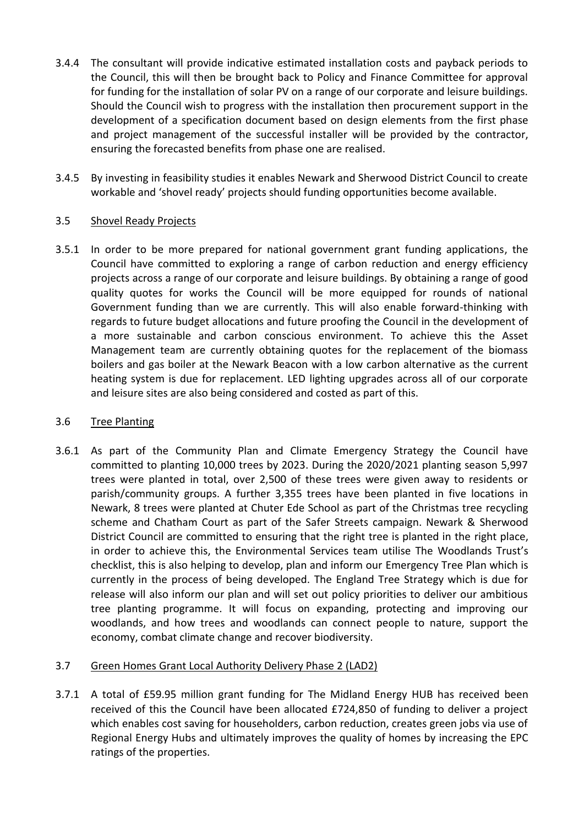- 3.4.4 The consultant will provide indicative estimated installation costs and payback periods to the Council, this will then be brought back to Policy and Finance Committee for approval for funding for the installation of solar PV on a range of our corporate and leisure buildings. Should the Council wish to progress with the installation then procurement support in the development of a specification document based on design elements from the first phase and project management of the successful installer will be provided by the contractor, ensuring the forecasted benefits from phase one are realised.
- 3.4.5 By investing in feasibility studies it enables Newark and Sherwood District Council to create workable and 'shovel ready' projects should funding opportunities become available.

### 3.5 Shovel Ready Projects

3.5.1 In order to be more prepared for national government grant funding applications, the Council have committed to exploring a range of carbon reduction and energy efficiency projects across a range of our corporate and leisure buildings. By obtaining a range of good quality quotes for works the Council will be more equipped for rounds of national Government funding than we are currently. This will also enable forward-thinking with regards to future budget allocations and future proofing the Council in the development of a more sustainable and carbon conscious environment. To achieve this the Asset Management team are currently obtaining quotes for the replacement of the biomass boilers and gas boiler at the Newark Beacon with a low carbon alternative as the current heating system is due for replacement. LED lighting upgrades across all of our corporate and leisure sites are also being considered and costed as part of this.

### 3.6 Tree Planting

3.6.1 As part of the Community Plan and Climate Emergency Strategy the Council have committed to planting 10,000 trees by 2023. During the 2020/2021 planting season 5,997 trees were planted in total, over 2,500 of these trees were given away to residents or parish/community groups. A further 3,355 trees have been planted in five locations in Newark, 8 trees were planted at Chuter Ede School as part of the Christmas tree recycling scheme and Chatham Court as part of the Safer Streets campaign. Newark & Sherwood District Council are committed to ensuring that the right tree is planted in the right place, in order to achieve this, the Environmental Services team utilise The Woodlands Trust's checklist, this is also helping to develop, plan and inform our Emergency Tree Plan which is currently in the process of being developed. The England Tree Strategy which is due for release will also inform our plan and will set out policy priorities to deliver our ambitious tree planting programme. It will focus on expanding, protecting and improving our woodlands, and how trees and woodlands can connect people to nature, support the economy, combat climate change and recover biodiversity.

## 3.7 Green Homes Grant Local Authority Delivery Phase 2 (LAD2)

3.7.1 A total of £59.95 million grant funding for The Midland Energy HUB has received been received of this the Council have been allocated £724,850 of funding to deliver a project which enables cost saving for householders, carbon reduction, creates green jobs via use of Regional Energy Hubs and ultimately improves the quality of homes by increasing the EPC ratings of the properties.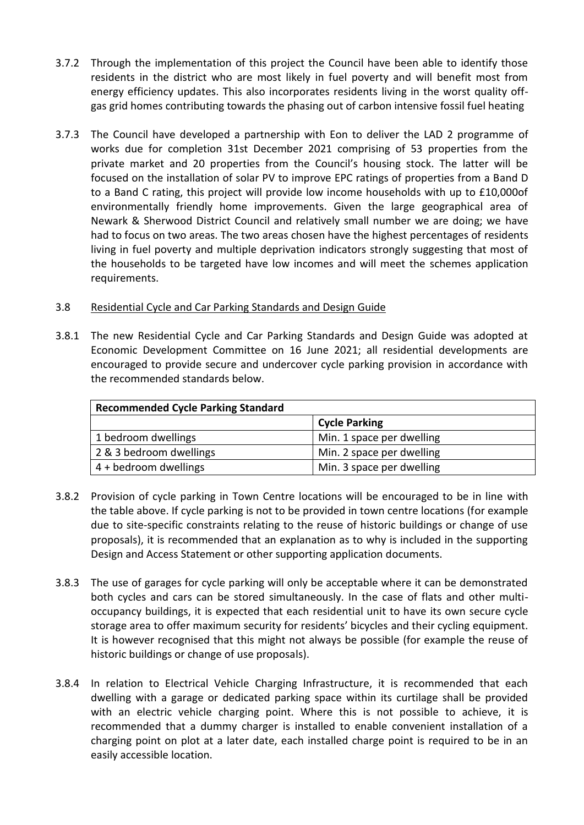- 3.7.2 Through the implementation of this project the Council have been able to identify those residents in the district who are most likely in fuel poverty and will benefit most from energy efficiency updates. This also incorporates residents living in the worst quality offgas grid homes contributing towards the phasing out of carbon intensive fossil fuel heating
- 3.7.3 The Council have developed a partnership with Eon to deliver the LAD 2 programme of works due for completion 31st December 2021 comprising of 53 properties from the private market and 20 properties from the Council's housing stock. The latter will be focused on the installation of solar PV to improve EPC ratings of properties from a Band D to a Band C rating, this project will provide low income households with up to £10,000of environmentally friendly home improvements. Given the large geographical area of Newark & Sherwood District Council and relatively small number we are doing; we have had to focus on two areas. The two areas chosen have the highest percentages of residents living in fuel poverty and multiple deprivation indicators strongly suggesting that most of the households to be targeted have low incomes and will meet the schemes application requirements.

### 3.8 Residential Cycle and Car Parking Standards and Design Guide

3.8.1 The new Residential Cycle and Car Parking Standards and Design Guide was adopted at Economic Development Committee on 16 June 2021; all residential developments are encouraged to provide secure and undercover cycle parking provision in accordance with the recommended standards below.

| <b>Recommended Cycle Parking Standard</b> |                           |  |  |  |  |
|-------------------------------------------|---------------------------|--|--|--|--|
|                                           | <b>Cycle Parking</b>      |  |  |  |  |
| 1 bedroom dwellings                       | Min. 1 space per dwelling |  |  |  |  |
| 2 & 3 bedroom dwellings                   | Min. 2 space per dwelling |  |  |  |  |
| 4 + bedroom dwellings                     | Min. 3 space per dwelling |  |  |  |  |

- 3.8.2 Provision of cycle parking in Town Centre locations will be encouraged to be in line with the table above. If cycle parking is not to be provided in town centre locations (for example due to site-specific constraints relating to the reuse of historic buildings or change of use proposals), it is recommended that an explanation as to why is included in the supporting Design and Access Statement or other supporting application documents.
- 3.8.3 The use of garages for cycle parking will only be acceptable where it can be demonstrated both cycles and cars can be stored simultaneously. In the case of flats and other multioccupancy buildings, it is expected that each residential unit to have its own secure cycle storage area to offer maximum security for residents' bicycles and their cycling equipment. It is however recognised that this might not always be possible (for example the reuse of historic buildings or change of use proposals).
- 3.8.4 In relation to Electrical Vehicle Charging Infrastructure, it is recommended that each dwelling with a garage or dedicated parking space within its curtilage shall be provided with an electric vehicle charging point. Where this is not possible to achieve, it is recommended that a dummy charger is installed to enable convenient installation of a charging point on plot at a later date, each installed charge point is required to be in an easily accessible location.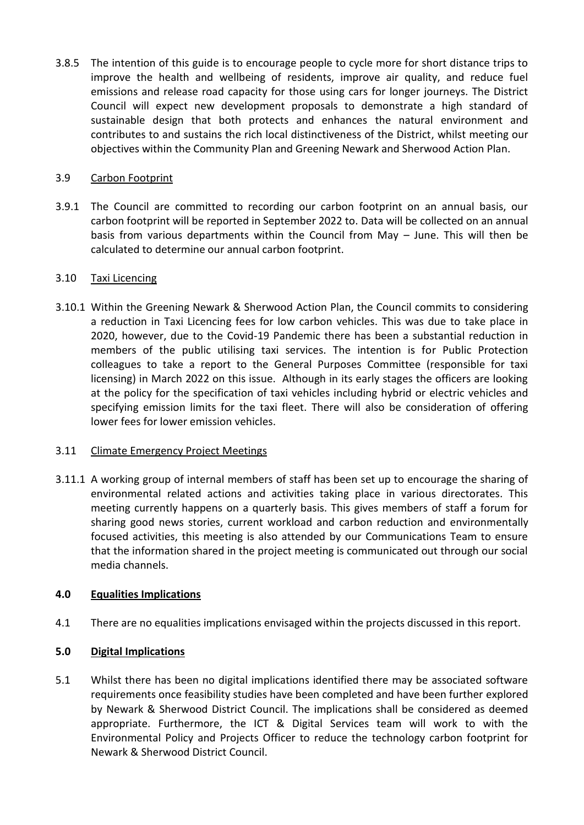3.8.5 The intention of this guide is to encourage people to cycle more for short distance trips to improve the health and wellbeing of residents, improve air quality, and reduce fuel emissions and release road capacity for those using cars for longer journeys. The District Council will expect new development proposals to demonstrate a high standard of sustainable design that both protects and enhances the natural environment and contributes to and sustains the rich local distinctiveness of the District, whilst meeting our objectives within the Community Plan and Greening Newark and Sherwood Action Plan.

### 3.9 Carbon Footprint

3.9.1 The Council are committed to recording our carbon footprint on an annual basis, our carbon footprint will be reported in September 2022 to. Data will be collected on an annual basis from various departments within the Council from May – June. This will then be calculated to determine our annual carbon footprint.

### 3.10 Taxi Licencing

3.10.1 Within the Greening Newark & Sherwood Action Plan, the Council commits to considering a reduction in Taxi Licencing fees for low carbon vehicles. This was due to take place in 2020, however, due to the Covid-19 Pandemic there has been a substantial reduction in members of the public utilising taxi services. The intention is for Public Protection colleagues to take a report to the General Purposes Committee (responsible for taxi licensing) in March 2022 on this issue. Although in its early stages the officers are looking at the policy for the specification of taxi vehicles including hybrid or electric vehicles and specifying emission limits for the taxi fleet. There will also be consideration of offering lower fees for lower emission vehicles.

### 3.11 Climate Emergency Project Meetings

3.11.1 A working group of internal members of staff has been set up to encourage the sharing of environmental related actions and activities taking place in various directorates. This meeting currently happens on a quarterly basis. This gives members of staff a forum for sharing good news stories, current workload and carbon reduction and environmentally focused activities, this meeting is also attended by our Communications Team to ensure that the information shared in the project meeting is communicated out through our social media channels.

## **4.0 Equalities Implications**

4.1 There are no equalities implications envisaged within the projects discussed in this report.

## **5.0 Digital Implications**

5.1 Whilst there has been no digital implications identified there may be associated software requirements once feasibility studies have been completed and have been further explored by Newark & Sherwood District Council. The implications shall be considered as deemed appropriate. Furthermore, the ICT & Digital Services team will work to with the Environmental Policy and Projects Officer to reduce the technology carbon footprint for Newark & Sherwood District Council.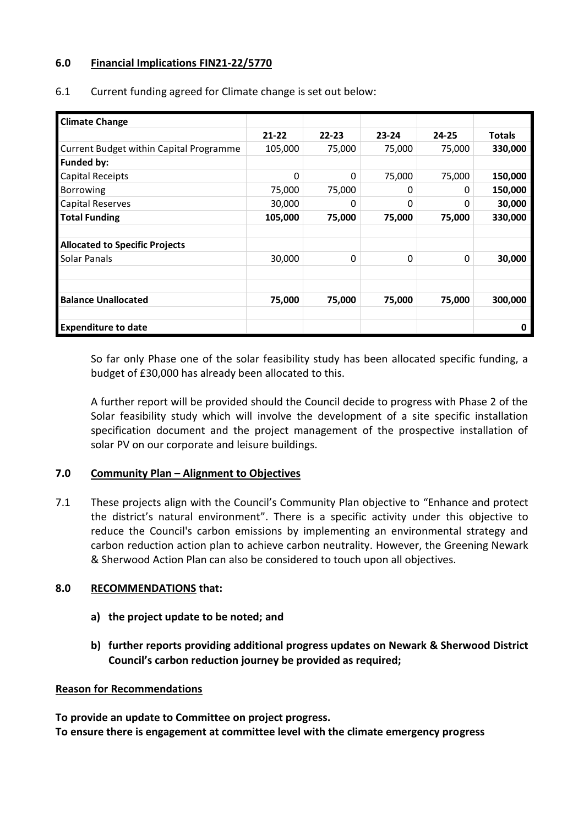## **6.0 Financial Implications FIN21-22/5770**

| <b>Climate Change</b>                          |           |           |           |           |               |
|------------------------------------------------|-----------|-----------|-----------|-----------|---------------|
|                                                | $21 - 22$ | $22 - 23$ | $23 - 24$ | $24 - 25$ | <b>Totals</b> |
| <b>Current Budget within Capital Programme</b> | 105,000   | 75,000    | 75,000    | 75,000    | 330,000       |
| <b>Funded by:</b>                              |           |           |           |           |               |
| <b>Capital Receipts</b>                        | 0         | 0         | 75,000    | 75,000    | 150,000       |
| Borrowing                                      | 75,000    | 75,000    | 0         | 0         | 150,000       |
| <b>Capital Reserves</b>                        | 30,000    | 0         | 0         | 0         | 30,000        |
| <b>Total Funding</b>                           | 105,000   | 75,000    | 75,000    | 75,000    | 330,000       |
|                                                |           |           |           |           |               |
| <b>Allocated to Specific Projects</b>          |           |           |           |           |               |
| Solar Panals                                   | 30,000    | 0         | 0         | 0         | 30,000        |
|                                                |           |           |           |           |               |
|                                                |           |           |           |           |               |
| <b>Balance Unallocated</b>                     | 75,000    | 75,000    | 75,000    | 75,000    | 300,000       |
|                                                |           |           |           |           |               |
| <b>Expenditure to date</b>                     |           |           |           |           | O             |

6.1 Current funding agreed for Climate change is set out below:

So far only Phase one of the solar feasibility study has been allocated specific funding, a budget of £30,000 has already been allocated to this.

A further report will be provided should the Council decide to progress with Phase 2 of the Solar feasibility study which will involve the development of a site specific installation specification document and the project management of the prospective installation of solar PV on our corporate and leisure buildings.

### **7.0 Community Plan – Alignment to Objectives**

7.1 These projects align with the Council's Community Plan objective to "Enhance and protect the district's natural environment". There is a specific activity under this objective to reduce the Council's carbon emissions by implementing an environmental strategy and carbon reduction action plan to achieve carbon neutrality. However, the Greening Newark & Sherwood Action Plan can also be considered to touch upon all objectives.

### **8.0 RECOMMENDATIONS that:**

- **a) the project update to be noted; and**
- **b) further reports providing additional progress updates on Newark & Sherwood District Council's carbon reduction journey be provided as required;**

### **Reason for Recommendations**

**To provide an update to Committee on project progress. To ensure there is engagement at committee level with the climate emergency progress**